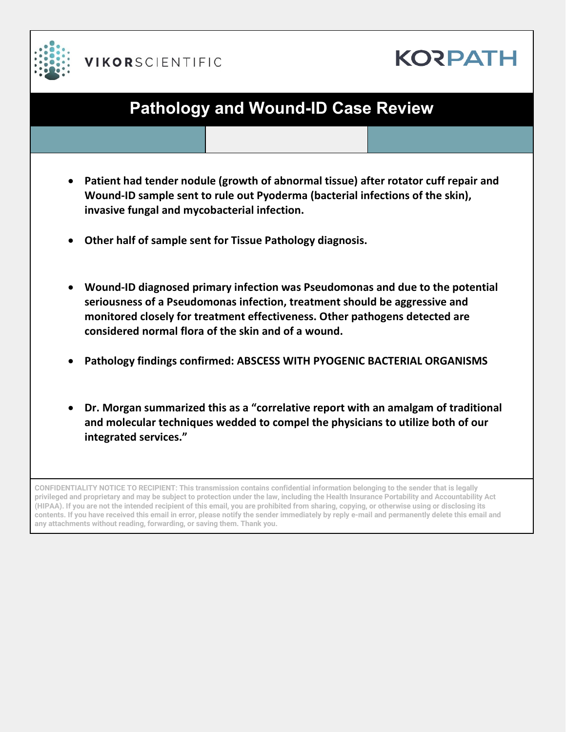



# **Pathology and Wound-ID Case Review**

- **Patient had tender nodule (growth of abnormal tissue) after rotator cuff repair and Wound-ID sample sent to rule out Pyoderma (bacterial infections of the skin), invasive fungal and mycobacterial infection.**
- **Other half of sample sent for Tissue Pathology diagnosis.**
- **Wound-ID diagnosed primary infection was Pseudomonas and due to the potential seriousness of a Pseudomonas infection, treatment should be aggressive and monitored closely for treatment effectiveness. Other pathogens detected are considered normal flora of the skin and of a wound.**
- **Pathology findings confirmed: ABSCESS WITH PYOGENIC BACTERIAL ORGANISMS**
- **Dr. Morgan summarized this as a "correlative report with an amalgam of traditional and molecular techniques wedded to compel the physicians to utilize both of our integrated services."**

**CONFIDENTIALITY NOTICE TO RECIPIENT: This transmission contains confidential information belonging to the sender that is legally privileged and proprietary and may be subject to protection under the law, including the Health Insurance Portability and Accountability Act (HIPAA). If you are not the intended recipient of this email, you are prohibited from sharing, copying, or otherwise using or disclosing its contents. If you have received this email in error, please notify the sender immediately by reply e-mail and permanently delete this email and any attachments without reading, forwarding, or saving them. Thank you.**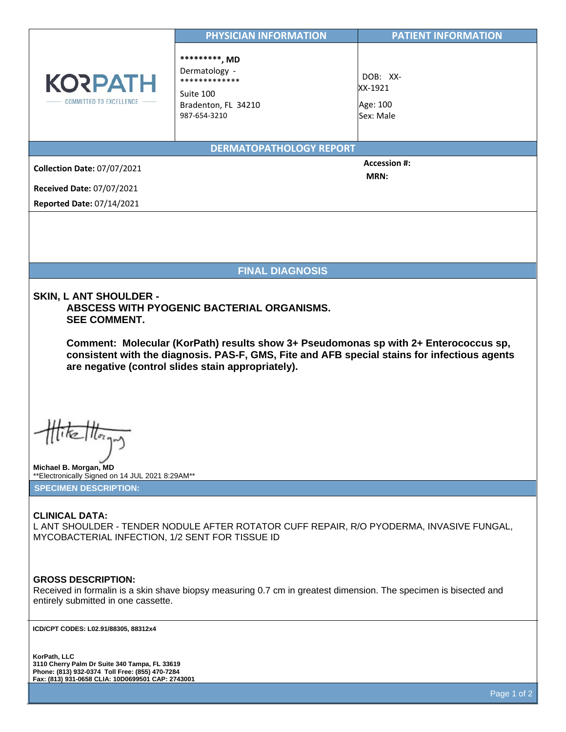|                                                                                                                                                                                                                                                                                                                                                                                                                                          | PHYSICIAN INFORMATION                                                                                            | <b>PATIENT INFORMATION</b>                   |
|------------------------------------------------------------------------------------------------------------------------------------------------------------------------------------------------------------------------------------------------------------------------------------------------------------------------------------------------------------------------------------------------------------------------------------------|------------------------------------------------------------------------------------------------------------------|----------------------------------------------|
| <b>KORPATH</b><br>COMMITTED TO EXCELLENCE                                                                                                                                                                                                                                                                                                                                                                                                | **********, MD<br>Dermatology -<br>*************<br>Suite 100<br>Bradenton, FL 34210<br>987-654-3210             | DOB: XX-<br>XX-1921<br>Age: 100<br>Sex: Male |
|                                                                                                                                                                                                                                                                                                                                                                                                                                          | <b>DERMATOPATHOLOGY REPORT</b>                                                                                   |                                              |
| <b>Collection Date: 07/07/2021</b>                                                                                                                                                                                                                                                                                                                                                                                                       |                                                                                                                  | <b>Accession #:</b>                          |
| <b>Received Date: 07/07/2021</b>                                                                                                                                                                                                                                                                                                                                                                                                         |                                                                                                                  | MRN:                                         |
| <b>Reported Date: 07/14/2021</b>                                                                                                                                                                                                                                                                                                                                                                                                         |                                                                                                                  |                                              |
|                                                                                                                                                                                                                                                                                                                                                                                                                                          |                                                                                                                  |                                              |
|                                                                                                                                                                                                                                                                                                                                                                                                                                          |                                                                                                                  |                                              |
|                                                                                                                                                                                                                                                                                                                                                                                                                                          |                                                                                                                  |                                              |
|                                                                                                                                                                                                                                                                                                                                                                                                                                          | <b>FINAL DIAGNOSIS</b>                                                                                           |                                              |
| SKIN, L ANT SHOULDER -<br>ABSCESS WITH PYOGENIC BACTERIAL ORGANISMS.<br><b>SEE COMMENT.</b><br>Comment: Molecular (KorPath) results show 3+ Pseudomonas sp with 2+ Enterococcus sp,<br>consistent with the diagnosis. PAS-F, GMS, Fite and AFB special stains for infectious agents<br>are negative (control slides stain appropriately).<br>$\mathfrak{m}$<br>Michael B. Morgan, MD<br>** Electronically Signed on 14 JUL 2021 8:29AM** |                                                                                                                  |                                              |
| <b>SPECIMEN DESCRIPTION:</b>                                                                                                                                                                                                                                                                                                                                                                                                             |                                                                                                                  |                                              |
| <b>CLINICAL DATA:</b><br>L ANT SHOULDER - TENDER NODULE AFTER ROTATOR CUFF REPAIR, R/O PYODERMA, INVASIVE FUNGAL,<br>MYCOBACTERIAL INFECTION, 1/2 SENT FOR TISSUE ID                                                                                                                                                                                                                                                                     |                                                                                                                  |                                              |
| <b>GROSS DESCRIPTION:</b><br>entirely submitted in one cassette.                                                                                                                                                                                                                                                                                                                                                                         | Received in formalin is a skin shave biopsy measuring 0.7 cm in greatest dimension. The specimen is bisected and |                                              |
| ICD/CPT CODES: L02.91/88305, 88312x4                                                                                                                                                                                                                                                                                                                                                                                                     |                                                                                                                  |                                              |
| KorPath, LLC<br>3110 Cherry Palm Dr Suite 340 Tampa, FL 33619                                                                                                                                                                                                                                                                                                                                                                            |                                                                                                                  |                                              |

**Phone: (813) 932-0374 Toll Free: (855) 470-7284 Fax: (813) 931-0658 CLIA: 10D0699501 CAP: 2743001**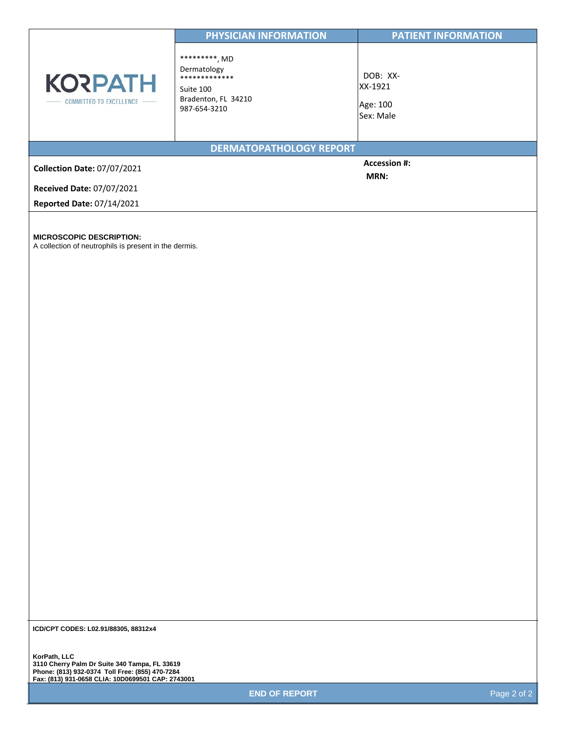|                                             | PHYSICIAN INFORMATION                                                                              | <b>PATIENT INFORMATION</b>                   |
|---------------------------------------------|----------------------------------------------------------------------------------------------------|----------------------------------------------|
| <b>KORPATH</b><br>COMMITTED TO EXCELLENCE - | **********, MD<br>Dermatology<br>*************<br>Suite 100<br>Bradenton, FL 34210<br>987-654-3210 | DOB: XX-<br>XX-1921<br>Age: 100<br>Sex: Male |
|                                             | <b>DERMATOPATHOLOGY REPORT</b>                                                                     |                                              |
| <b>Collection Date: 07/07/2021</b>          |                                                                                                    | <b>Accession #:</b><br><b>MRN:</b>           |
| <b>Received Date: 07/07/2021</b>            |                                                                                                    |                                              |
| <b>Reported Date: 07/14/2021</b>            |                                                                                                    |                                              |

**MICROSCOPIC DESCRIPTION:** 

A collection of neutrophils is present in the dermis.

**ICD/CPT CODES: L02.91/88305, 88312x4**

**KorPath, LLC 3110 Cherry Palm Dr Suite 340 Tampa, FL 33619 Phone: (813) 932-0374 Toll Free: (855) 470-7284 Fax: (813) 931-0658 CLIA: 10D0699501 CAP: 2743001** 

**END OF REPORT Page 2 of 2**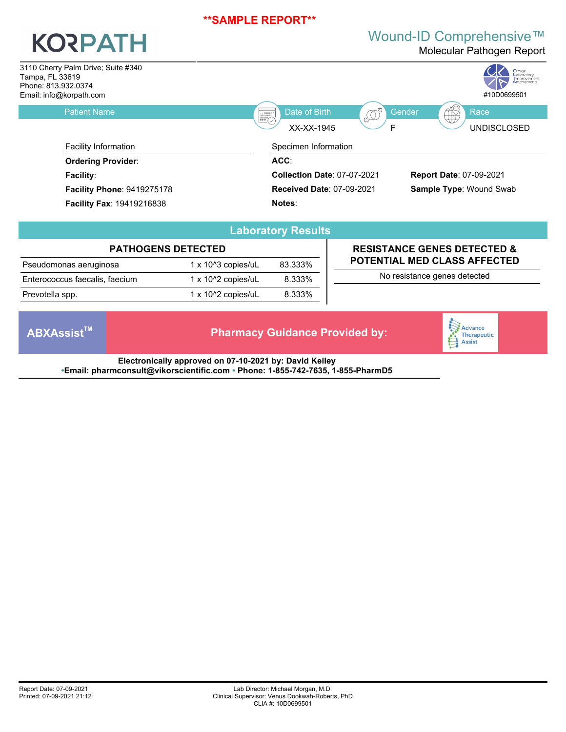# **KORPATH**

## Wound-ID Comprehensive™

Molecular Pathogen Report



|                                |                               | $-$     |
|--------------------------------|-------------------------------|---------|
|                                | <b>PATHOGENS DETECTED</b>     |         |
| Pseudomonas aeruginosa         | $1 \times 10^{4}$ 3 copies/uL | 83.333% |
| Enterococcus faecalis, faecium | $1 \times 10^{2}$ copies/uL   | 8.333%  |
| Prevotella spp.                | $1 \times 10^{2}$ copies/uL   | 8.333%  |

## **Laboratory Results**

### **RESISTANCE GENES DETECTED & POTENTIAL MED CLASS AFFECTED**

No resistance genes detected

**ABXAssistTM Pharmacy Guidance Provided by:**



**Electronically approved on 07-10-2021 by: David Kelley •Email: pharmconsult@vikorscientific.com • Phone: 1-855-742-7635, 1-855-PharmD5**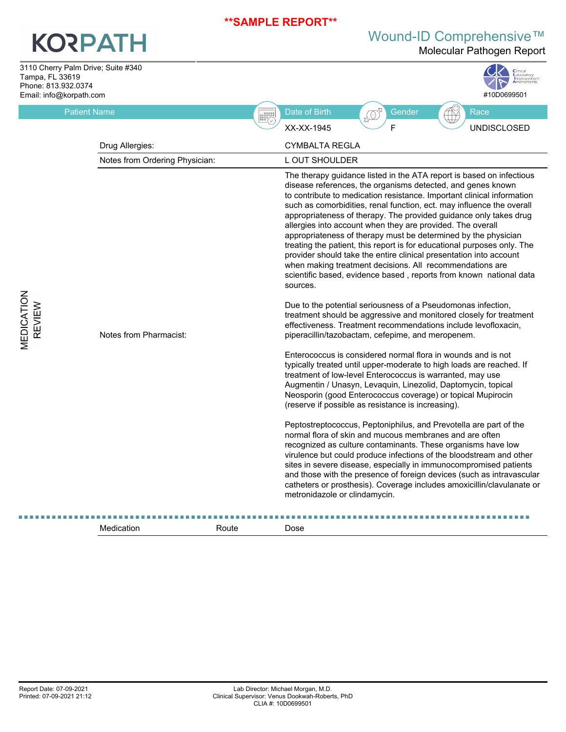# **KORPATH**

Wound-ID Comprehensive™

Molecular Pathogen Report

**MEDICATION<br>REVIEW** 

| Tampa, FL 33619<br>Phone: 813.932.0374<br>Email: info@korpath.com | 3110 Cherry Palm Drive; Suite #340 | Clinical<br>Laboratory<br>#10D0699501                                                                                                                                                                                                                                                                                                                                                                                                                                                                                                                                                                                                                                                                                                                                                      |
|-------------------------------------------------------------------|------------------------------------|--------------------------------------------------------------------------------------------------------------------------------------------------------------------------------------------------------------------------------------------------------------------------------------------------------------------------------------------------------------------------------------------------------------------------------------------------------------------------------------------------------------------------------------------------------------------------------------------------------------------------------------------------------------------------------------------------------------------------------------------------------------------------------------------|
|                                                                   | <b>Patient Name</b>                | Date of Birth<br>$\begin{picture}(20,20) \put(0,0){\line(1,0){155}} \put(15,0){\line(1,0){155}} \put(15,0){\line(1,0){155}} \put(15,0){\line(1,0){155}} \put(15,0){\line(1,0){155}} \put(15,0){\line(1,0){155}} \put(15,0){\line(1,0){155}} \put(15,0){\line(1,0){155}} \put(15,0){\line(1,0){155}} \put(15,0){\line(1,0){155}} \put(15,0){\line(1,0){155}} \$<br>Gender<br>Race<br><b>ESPECTED</b>                                                                                                                                                                                                                                                                                                                                                                                        |
|                                                                   |                                    | E<br><b>UNDISCLOSED</b><br>XX-XX-1945                                                                                                                                                                                                                                                                                                                                                                                                                                                                                                                                                                                                                                                                                                                                                      |
|                                                                   | Drug Allergies:                    | CYMBALTA REGLA                                                                                                                                                                                                                                                                                                                                                                                                                                                                                                                                                                                                                                                                                                                                                                             |
|                                                                   | Notes from Ordering Physician:     | L OUT SHOULDER                                                                                                                                                                                                                                                                                                                                                                                                                                                                                                                                                                                                                                                                                                                                                                             |
|                                                                   |                                    | The therapy guidance listed in the ATA report is based on infectious<br>disease references, the organisms detected, and genes known<br>to contribute to medication resistance. Important clinical information<br>such as comorbidities, renal function, ect. may influence the overall<br>appropriateness of therapy. The provided guidance only takes drug<br>allergies into account when they are provided. The overall<br>appropriateness of therapy must be determined by the physician<br>treating the patient, this report is for educational purposes only. The<br>provider should take the entire clinical presentation into account<br>when making treatment decisions. All recommendations are<br>scientific based, evidence based, reports from known national data<br>sources. |
| MEDICATION<br>REVIEW                                              | Notes from Pharmacist:             | Due to the potential seriousness of a Pseudomonas infection,<br>treatment should be aggressive and monitored closely for treatment<br>effectiveness. Treatment recommendations include levofloxacin,<br>piperacillin/tazobactam, cefepime, and meropenem.<br>Enterococcus is considered normal flora in wounds and is not                                                                                                                                                                                                                                                                                                                                                                                                                                                                  |
|                                                                   |                                    | typically treated until upper-moderate to high loads are reached. If<br>treatment of low-level Enterococcus is warranted, may use<br>Augmentin / Unasyn, Levaquin, Linezolid, Daptomycin, topical<br>Neosporin (good Enterococcus coverage) or topical Mupirocin<br>(reserve if possible as resistance is increasing).                                                                                                                                                                                                                                                                                                                                                                                                                                                                     |
|                                                                   |                                    | Peptostreptococcus, Peptoniphilus, and Prevotella are part of the<br>normal flora of skin and mucous membranes and are often<br>recognized as culture contaminants. These organisms have low<br>virulence but could produce infections of the bloodstream and other<br>sites in severe disease, especially in immunocompromised patients<br>and those with the presence of foreign devices (such as intravascular<br>catheters or prosthesis). Coverage includes amoxicillin/clavulanate or<br>metronidazole or clindamycin.                                                                                                                                                                                                                                                               |
|                                                                   |                                    |                                                                                                                                                                                                                                                                                                                                                                                                                                                                                                                                                                                                                                                                                                                                                                                            |

Medication **Route** Route **Dose**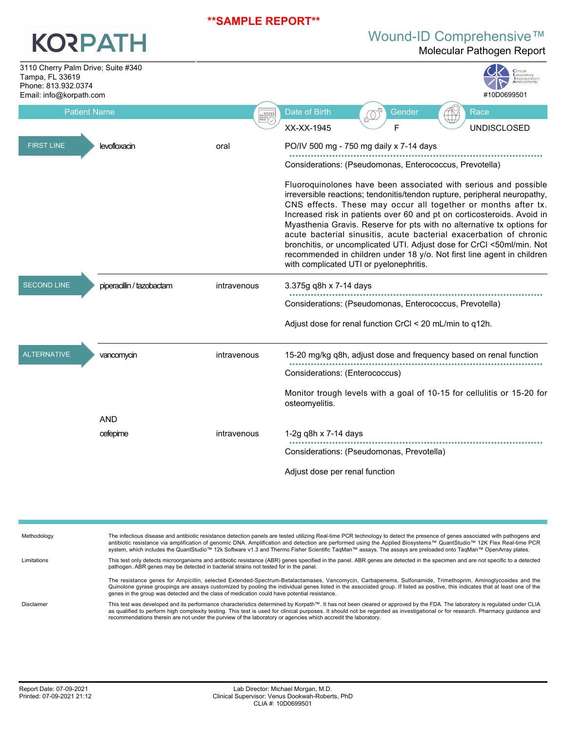# **KORPATH**

# Wound-ID Comprehensive™

Molecular Pathogen Report

| 3110 Cherry Palm Drive; Suite #340<br>Tampa, FL 33619<br>Phone: 813.932.0374<br>Email: info@korpath.com |                           |                | Improvemen<br>#10D0699501                                                                                                                                                                                                                                                                                                                                                                                                                                                                                                                                                                                                            |
|---------------------------------------------------------------------------------------------------------|---------------------------|----------------|--------------------------------------------------------------------------------------------------------------------------------------------------------------------------------------------------------------------------------------------------------------------------------------------------------------------------------------------------------------------------------------------------------------------------------------------------------------------------------------------------------------------------------------------------------------------------------------------------------------------------------------|
| <b>Patient Name</b>                                                                                     |                           | <b>EXPRESS</b> | Date of Birth<br>Gender<br>Race<br>£Q                                                                                                                                                                                                                                                                                                                                                                                                                                                                                                                                                                                                |
|                                                                                                         |                           |                | F<br>XX-XX-1945<br><b>UNDISCLOSED</b>                                                                                                                                                                                                                                                                                                                                                                                                                                                                                                                                                                                                |
| <b>FIRST LINE</b>                                                                                       | levofloxacin              | oral           | PO/IV 500 mg - 750 mg daily x 7-14 days                                                                                                                                                                                                                                                                                                                                                                                                                                                                                                                                                                                              |
|                                                                                                         |                           |                | Considerations: (Pseudomonas, Enterococcus, Prevotella)                                                                                                                                                                                                                                                                                                                                                                                                                                                                                                                                                                              |
|                                                                                                         |                           |                | Fluoroquinolones have been associated with serious and possible<br>irreversible reactions; tendonitis/tendon rupture, peripheral neuropathy,<br>CNS effects. These may occur all together or months after tx.<br>Increased risk in patients over 60 and pt on corticosteroids. Avoid in<br>Myasthenia Gravis. Reserve for pts with no alternative tx options for<br>acute bacterial sinusitis, acute bacterial exacerbation of chronic<br>bronchitis, or uncomplicated UTI. Adjust dose for CrCl <50ml/min. Not<br>recommended in children under 18 y/o. Not first line agent in children<br>with complicated UTI or pyelonephritis. |
| <b>SECOND LINE</b>                                                                                      | piperacillin / tazobactam | intravenous    | 3.375g q8h x 7-14 days                                                                                                                                                                                                                                                                                                                                                                                                                                                                                                                                                                                                               |
|                                                                                                         |                           |                | Considerations: (Pseudomonas, Enterococcus, Prevotella)                                                                                                                                                                                                                                                                                                                                                                                                                                                                                                                                                                              |
|                                                                                                         |                           |                | Adjust dose for renal function CrCl < 20 mL/min to q12h.                                                                                                                                                                                                                                                                                                                                                                                                                                                                                                                                                                             |
| <b>ALTERNATIVE</b>                                                                                      | vancomycin                | intravenous    | 15-20 mg/kg q8h, adjust dose and frequency based on renal function                                                                                                                                                                                                                                                                                                                                                                                                                                                                                                                                                                   |
|                                                                                                         |                           |                | Considerations: (Enterococcus)                                                                                                                                                                                                                                                                                                                                                                                                                                                                                                                                                                                                       |
|                                                                                                         |                           |                | Monitor trough levels with a goal of 10-15 for cellulitis or 15-20 for<br>osteomyelitis.                                                                                                                                                                                                                                                                                                                                                                                                                                                                                                                                             |
|                                                                                                         | <b>AND</b>                |                |                                                                                                                                                                                                                                                                                                                                                                                                                                                                                                                                                                                                                                      |
|                                                                                                         | cefepime                  | intravenous    | 1-2g q8h x $7-14$ days                                                                                                                                                                                                                                                                                                                                                                                                                                                                                                                                                                                                               |
|                                                                                                         |                           |                | Considerations: (Pseudomonas, Prevotella)                                                                                                                                                                                                                                                                                                                                                                                                                                                                                                                                                                                            |
|                                                                                                         |                           |                | Adjust dose per renal function                                                                                                                                                                                                                                                                                                                                                                                                                                                                                                                                                                                                       |

| Methodology | The infectious disease and antibiotic resistance detection panels are tested utilizing Real-time PCR technology to detect the presence of genes associated with pathogens and<br>antibiotic resistance via amplification of genomic DNA. Amplification and detection are performed using the Applied Biosystems™ QuantStudio™ 12K Flex Real-time PCR<br>system, which includes the QuantStudio™ 12k Software v1.3 and Thermo Fisher Scientific TagMan™ assays. The assays are preloaded onto TagMan™ OpenArray plates. |
|-------------|------------------------------------------------------------------------------------------------------------------------------------------------------------------------------------------------------------------------------------------------------------------------------------------------------------------------------------------------------------------------------------------------------------------------------------------------------------------------------------------------------------------------|
| Limitations | This test only detects microorganisms and antibiotic resistance (ABR) genes specified in the panel. ABR genes are detected in the specimen and are not specific to a detected<br>pathogen. ABR genes may be detected in bacterial strains not tested for in the panel.                                                                                                                                                                                                                                                 |
|             | The resistance genes for Ampicillin, selected Extended-Spectrum-Betalactamases, Vancomycin, Carbapenems, Sulfonamide, Trimethoprim, Aminoglycosides and the<br>Quinolone gyrase groupings are assays customized by pooling the individual genes listed in the associated group. If listed as positive, this indicates that at least one of the<br>genes in the group was detected and the class of medication could have potential resistance.                                                                         |
| Disclaimer  | This test was developed and its performance characteristics determined by Korpath™. It has not been cleared or approved by the FDA. The laboratory is requlated under CLIA<br>as qualified to perform high complexity testing. This test is used for clinical purposes. It should not be regarded as investigational or for research. Pharmacy quidance and<br>recommendations therein are not under the purview of the laboratory or agencies which accredit the laboratory.                                          |
|             |                                                                                                                                                                                                                                                                                                                                                                                                                                                                                                                        |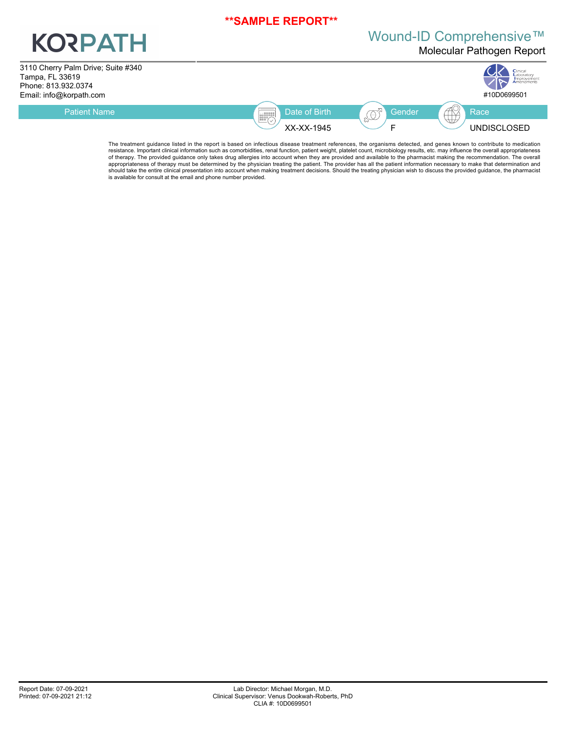# **KORPATH**

# Wound-ID Comprehensive™

Molecular Pathogen Report

3110 Cherry Palm Drive; Suite #340 Tampa, FL 33619 Phone: 813.932.0374



The treatment guidance listed in the report is based on infectious disease treatment references, the organisms detected, and genes known to contribute to medication resistance. Important clinical information such as comorbidities, renal function, patient weight, platelet count, microbiology results, etc. may influence the overall appropriateness of therapy. The provided guidance only takes drug allergies into account when they are provided and available to the pharmacist making the recommendation. The overall<br>appropriateness of therapy must be determined by the ph should take the entire clinical presentation into account when making treatment decisions. Should the treating physician wish to discuss the provided guidance, the pharmacist is available for consult at the email and phone number provided.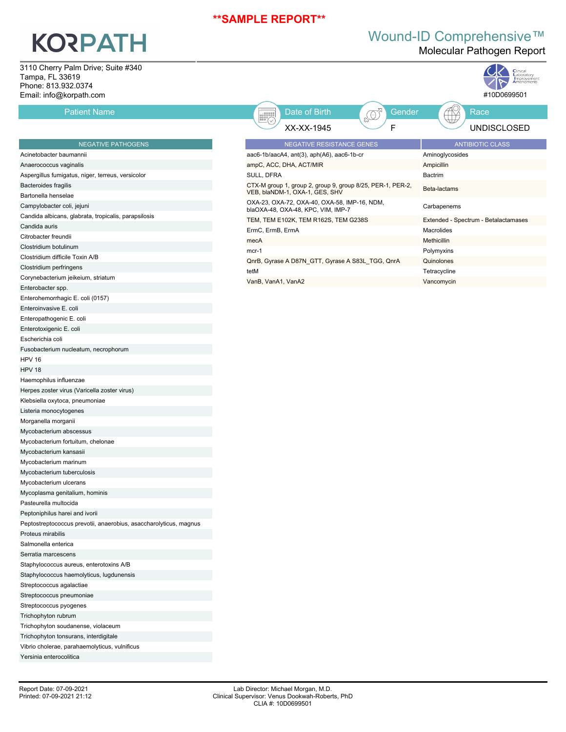# **KORPATH**

Enterohemorrhagic E. coli (0157) Enteroinvasive E. coli Enteropathogenic E. coli Enterotoxigenic E. coli Escherichia coli

Fusobacterium nucleatum, necrophorum

Herpes zoster virus (Varicella zoster virus) Klebsiella oxytoca, pneumoniae Listeria monocytogenes Morganella morganii Mycobacterium abscessus Mycobacterium fortuitum, chelonae Mycobacterium kansasii Mycobacterium marinum Mycobacterium tuberculosis Mycobacterium ulcerans Mycoplasma genitalium, hominis Pasteurella multocida Peptoniphilus harei and ivorii

Staphylococcus aureus, enterotoxins A/B Staphylococcus haemolyticus, lugdunensis

Trichophyton soudanense, violaceum Trichophyton tonsurans, interdigitale Vibrio cholerae, parahaemolyticus, vulnificus

Peptostreptococcus prevotii, anaerobius, asaccharolyticus, magnus

## Wound-ID Comprehensive™

Molecular Pathogen Report

Cinical Clinical

3110 Cherry Palm Drive; Suite #340 Tampa, FL 33619 Phone: 813.932.0374 Email: info@korpath.com

Enterobacter spp.

HPV 16 HPV 18

Haemophilus influenzae

Proteus mirabilis Salmonella enterica Serratia marcescens

Streptococcus agalactiae Streptococcus pneumoniae Streptococcus pyogenes Trichophyton rubrum

| Tallipa, I L JJU I J<br>Phone: 813.932.0374<br>Email: info@korpath.com |                                                                                              | <b>A</b> mprovement<br>#10D0699501   |
|------------------------------------------------------------------------|----------------------------------------------------------------------------------------------|--------------------------------------|
| <b>Patient Name</b>                                                    | EQ <sup>5</sup><br>Date of Birth<br><b>EXPRESS</b>                                           | Race<br>Gender                       |
|                                                                        | XX-XX-1945                                                                                   | <b>UNDISCLOSED</b>                   |
| <b>NEGATIVE PATHOGENS</b>                                              | NEGATIVE RESISTANCE GENES                                                                    | <b>ANTIBIOTIC CLASS</b>              |
| Acinetobacter baumannii                                                | aac6-1b/aacA4, ant(3), aph(A6), aac6-1b-cr                                                   | Aminoglycosides                      |
| Anaerococcus vaginalis                                                 | ampC, ACC, DHA, ACT/MIR                                                                      | Ampicillin                           |
| Aspergillus fumigatus, niger, terreus, versicolor                      | SULL, DFRA                                                                                   | <b>Bactrim</b>                       |
| Bacteroides fragilis<br>Bartonella henselae                            | CTX-M group 1, group 2, group 9, group 8/25, PER-1, PER-2,<br>VEB, blaNDM-1, OXA-1, GES, SHV | Beta-lactams                         |
| Campylobacter coli, jejuni                                             | OXA-23, OXA-72, OXA-40, OXA-58, IMP-16, NDM,<br>blaOXA-48, OXA-48, KPC, VIM, IMP-7           | Carbapenems                          |
| Candida albicans, glabrata, tropicalis, parapsilosis                   | TEM, TEM E102K, TEM R162S, TEM G238S                                                         | Extended - Spectrum - Betalactamases |
| Candida auris                                                          | ErmC, ErmB, ErmA                                                                             | Macrolides                           |
| Citrobacter freundii                                                   | mecA                                                                                         | Methicillin                          |
| Clostridium botulinum                                                  | $mcr-1$                                                                                      | Polymyxins                           |
| Clostridium difficile Toxin A/B                                        | QnrB, Gyrase A D87N GTT, Gyrase A S83L TGG, QnrA                                             | Quinolones                           |
| Clostridium perfringens                                                | tetM                                                                                         | Tetracycline                         |
| Corynebacterium jeikeium, striatum                                     | VanB, VanA1, VanA2                                                                           | Vancomycin                           |
| Eatomhantan san -                                                      |                                                                                              |                                      |

Yersinia enterocolitica